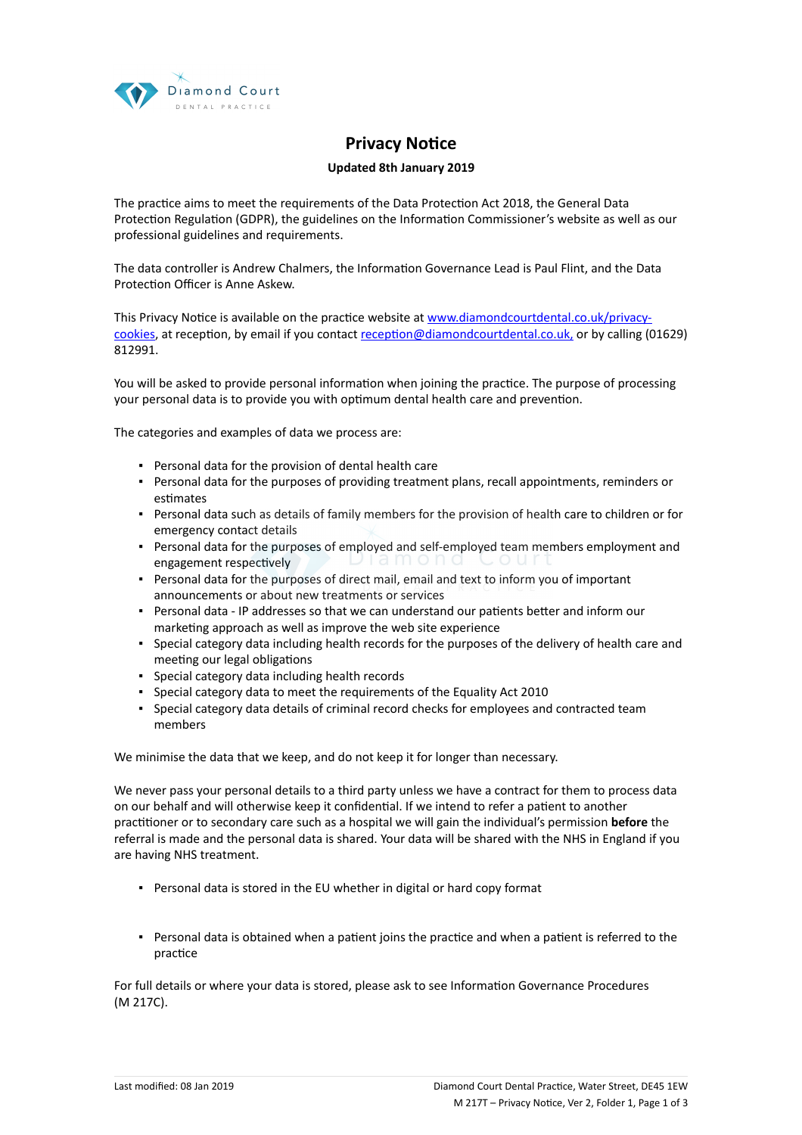

## **Privacy Notice**

## **Updated 8th January 2019**

The practice aims to meet the requirements of the Data Protection Act 2018, the General Data Protection Regulation (GDPR), the guidelines on the Information Commissioner's website as well as our professional guidelines and requirements.

The data controller is Andrew Chalmers, the Information Governance Lead is Paul Flint, and the Data Protection Officer is Anne Askew.

This Privacy Notice is available on the practice website at [www.diamondcourtdental.co.uk/privacy](https://dental.icomply.org/api/export/render/2aeae1fc-9547-49c7-afc0-5e8efa1f6cd8/www.practice.com/privacynotice)[cookies](https://dental.icomply.org/api/export/render/2aeae1fc-9547-49c7-afc0-5e8efa1f6cd8/www.practice.com/privacynotice), at reception, by email if you contact [reception@diamondcourtdental.co.uk,](mailto:reception@diamondcourtdental.co.uk,) or by calling (01629) 812991.

You will be asked to provide personal information when joining the practice. The purpose of processing your personal data is to provide you with optimum dental health care and prevention.

The categories and examples of data we process are:

- Personal data for the provision of dental health care
- Personal data for the purposes of providing treatment plans, recall appointments, reminders or estimates
- Personal data such as details of family members for the provision of health care to children or for emergency contact details
- Personal data for the purposes of employed and self-employed team members employment and engagement respectively
- Personal data for the purposes of direct mail, email and text to inform you of important announcements or about new treatments or services
- Personal data IP addresses so that we can understand our patients better and inform our marketing approach as well as improve the web site experience
- Special category data including health records for the purposes of the delivery of health care and meeting our legal obligations
- Special category data including health records
- Special category data to meet the requirements of the Equality Act 2010
- Special category data details of criminal record checks for employees and contracted team members

We minimise the data that we keep, and do not keep it for longer than necessary.

We never pass your personal details to a third party unless we have a contract for them to process data on our behalf and will otherwise keep it confidential. If we intend to refer a patient to another practitioner or to secondary care such as a hospital we will gain the individual's permission **before** the referral is made and the personal data is shared. Your data will be shared with the NHS in England if you are having NHS treatment.

- Personal data is stored in the EU whether in digital or hard copy format
- Personal data is obtained when a patient joins the practice and when a patient is referred to the practice

For full details or where your data is stored, please ask to see Information Governance Procedures (M 217C).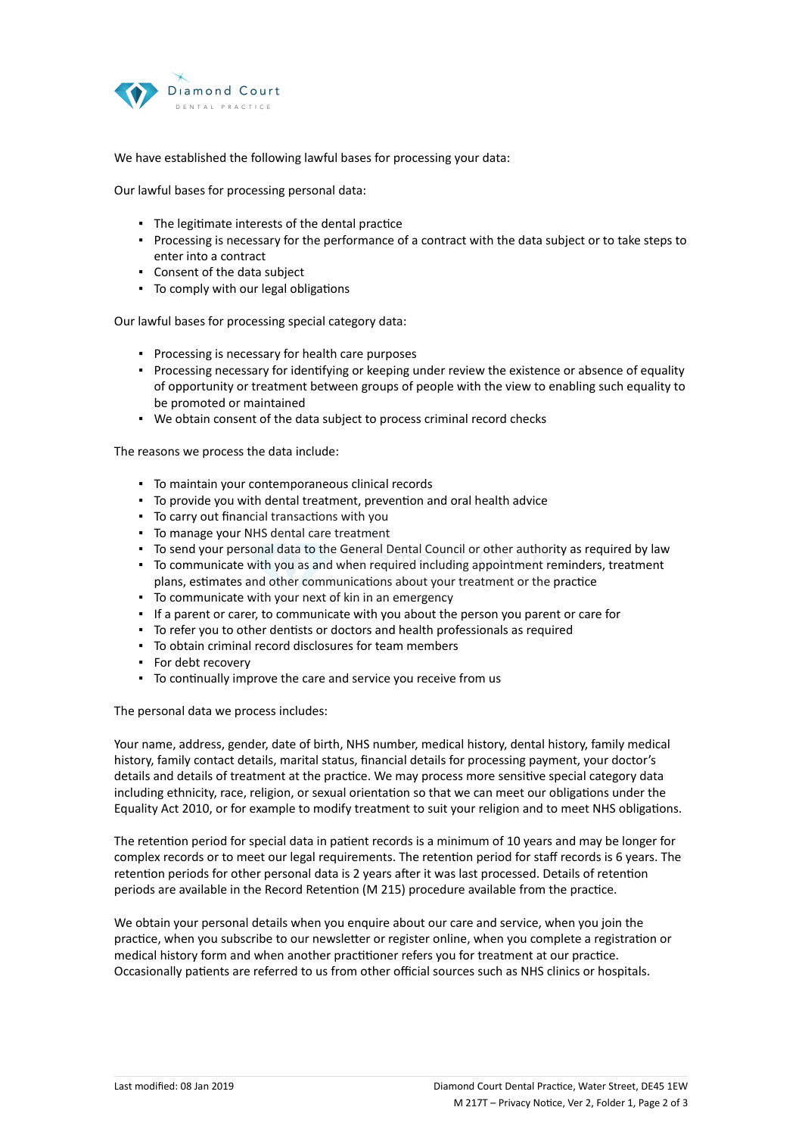

We have established the following lawful bases for processing your data:

Our lawful bases for processing personal data:

- The legitimate interests of the dental practice
- Processing is necessary for the performance of a contract with the data subject or to take steps to enter into a contract
- Consent of the data subject
- To comply with our legal obligations

Our lawful bases for processing special category data:

- Processing is necessary for health care purposes
- Processing necessary for identifying or keeping under review the existence or absence of equality of opportunity or treatment between groups of people with the view to enabling such equality to be promoted or maintained
- We obtain consent of the data subject to process criminal record checks

The reasons we process the data include:

- To maintain your contemporaneous clinical records
- To provide you with dental treatment, prevention and oral health advice
- To carry out financial transactions with you
- To manage your NHS dental care treatment
- To send your personal data to the General Dental Council or other authority as required by law
- To communicate with you as and when required including appointment reminders, treatment plans, estimates and other communications about your treatment or the practice
- To communicate with your next of kin in an emergency
- If a parent or carer, to communicate with you about the person you parent or care for
- To refer you to other dentists or doctors and health professionals as required
- To obtain criminal record disclosures for team members
- For debt recovery
- To continually improve the care and service you receive from us

The personal data we process includes:

Your name, address, gender, date of birth, NHS number, medical history, dental history, family medical history, family contact details, marital status, financial details for processing payment, your doctor's details and details of treatment at the practice. We may process more sensitive special category data including ethnicity, race, religion, or sexual orientation so that we can meet our obligations under the Equality Act 2010, or for example to modify treatment to suit your religion and to meet NHS obligations.

The retention period for special data in patient records is a minimum of 10 years and may be longer for complex records or to meet our legal requirements. The retention period for staff records is 6 years. The retention periods for other personal data is 2 years after it was last processed. Details of retention periods are available in the Record Retention (M 215) procedure available from the practice.

We obtain your personal details when you enquire about our care and service, when you join the practice, when you subscribe to our newsletter or register online, when you complete a registration or medical history form and when another practitioner refers you for treatment at our practice. Occasionally patients are referred to us from other official sources such as NHS clinics or hospitals.